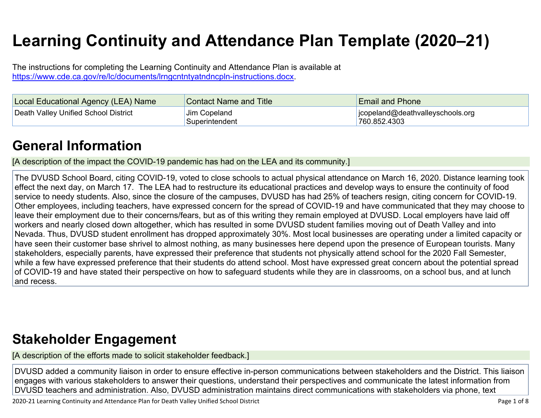# **Learning Continuity and Attendance Plan Template (2020–21)**

The instructions for completing the Learning Continuity and Attendance Plan is available at <https://www.cde.ca.gov/re/lc/documents/lrngcntntyatndncpln-instructions.docx>.

| Local Educational Agency (LEA) Name  | <b>Contact Name and Title</b>  | <b>Email and Phone</b>                           |
|--------------------------------------|--------------------------------|--------------------------------------------------|
| Death Valley Unified School District | Jim Copeland<br>Superintendent | jcopeland@deathvalleyschools.org<br>760.852.4303 |

### **General [Information](http://www.doc-tracking.com/screenshots/20LCP/Instructions/20LCPInstructions.htm#generalinformation)**

[A description of the impact the COVID-19 pandemic has had on the LEA and its community.]

The DVUSD School Board, citing COVID-19, voted to close schools to actual physical attendance on March 16, 2020. Distance learning took effect the next day, on March 17. The LEA had to restructure its educational practices and develop ways to ensure the continuity of food service to needy students. Also, since the closure of the campuses, DVUSD has had 25% of teachers resign, citing concern for COVID-19. Other employees, including teachers, have expressed concern for the spread of COVID-19 and have communicated that they may choose to leave their employment due to their concerns/fears, but as of this writing they remain employed at DVUSD. Local employers have laid off workers and nearly closed down altogether, which has resulted in some DVUSD student families moving out of Death Valley and into Nevada. Thus, DVUSD student enrollment has dropped approximately 30%. Most local businesses are operating under a limited capacity or have seen their customer base shrivel to almost nothing, as many businesses here depend upon the presence of European tourists. Many stakeholders, especially parents, have expressed their preference that students not physically attend school for the 2020 Fall Semester, while a few have expressed preference that their students do attend school. Most have expressed great concern about the potential spread of COVID-19 and have stated their perspective on how to safeguard students while they are in classrooms, on a school bus, and at lunch and recess.

### **Stakeholder [Engagement](http://www.doc-tracking.com/screenshots/20LCP/Instructions/20LCPInstructions.htm#stakeholderengagement)**

[A description of the efforts made to solicit stakeholder feedback.]

DVUSD added a community liaison in order to ensure effective in-person communications between stakeholders and the District. This liaison engages with various stakeholders to answer their questions, understand their perspectives and communicate the latest information from DVUSD teachers and administration. Also, DVUSD administration maintains direct communications with stakeholders via phone, text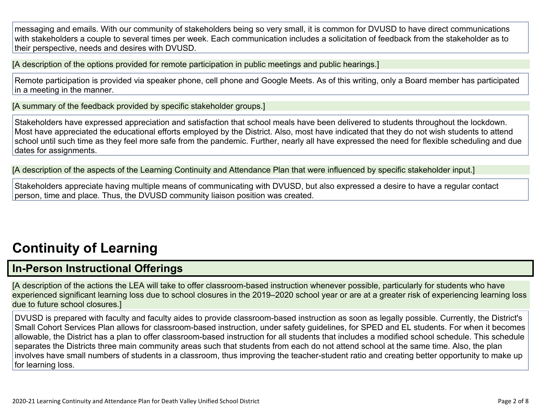messaging and emails. With our community of stakeholders being so very small, it is common for DVUSD to have direct communications with stakeholders a couple to several times per week. Each communication includes a solicitation of feedback from the stakeholder as to their perspective, needs and desires with DVUSD.

[A description of the options provided for remote participation in public meetings and public hearings.]

Remote participation is provided via speaker phone, cell phone and Google Meets. As of this writing, only a Board member has participated in a meeting in the manner.

[A summary of the feedback provided by specific stakeholder groups.]

Stakeholders have expressed appreciation and satisfaction that school meals have been delivered to students throughout the lockdown. Most have appreciated the educational efforts employed by the District. Also, most have indicated that they do not wish students to attend school until such time as they feel more safe from the pandemic. Further, nearly all have expressed the need for flexible scheduling and due dates for assignments.

[A description of the aspects of the Learning Continuity and Attendance Plan that were influenced by specific stakeholder input.]

Stakeholders appreciate having multiple means of communicating with DVUSD, but also expressed a desire to have a regular contact person, time and place. Thus, the DVUSD community liaison position was created.

## **[Continuity](http://www.doc-tracking.com/screenshots/20LCP/Instructions/20LCPInstructions.htm#ContinuityofLearning) of Learnin[g](http://www.doc-tracking.com/screenshots/20LCP/Instructions/20LCPInstructions.htm#ContinuityofLearning)**

### **In-Person [Instructional](http://www.doc-tracking.com/screenshots/20LCP/Instructions/20LCPInstructions.htm#ContinuityofLearning1) Offerings**

[A description of the actions the LEA will take to offer classroom-based instruction whenever possible, particularly for students who have experienced significant learning loss due to school closures in the 2019–2020 school year or are at a greater risk of experiencing learning loss due to future school closures.]

DVUSD is prepared with faculty and faculty aides to provide classroom-based instruction as soon as legally possible. Currently, the District's Small Cohort Services Plan allows for classroom-based instruction, under safety guidelines, for SPED and EL students. For when it becomes allowable, the District has a plan to offer classroom-based instruction for all students that includes a modified school schedule. This schedule separates the Districts three main community areas such that students from each do not attend school at the same time. Also, the plan involves have small numbers of students in a classroom, thus improving the teacher-student ratio and creating better opportunity to make up for learning loss.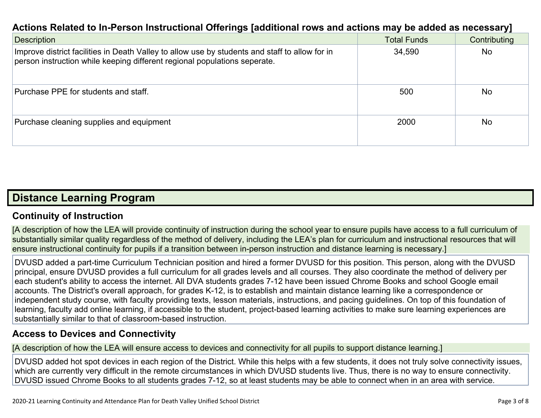#### **Actions Related to In-Person [Instructional](http://www.doc-tracking.com/screenshots/20LCP/Instructions/20LCPInstructions.htm#ContinuityofLearning2) Offerings [additional rows and actions may be added as necessary]**

| <b>Description</b>                                                                                                                                                          | <b>Total Funds</b> | Contributing   |
|-----------------------------------------------------------------------------------------------------------------------------------------------------------------------------|--------------------|----------------|
| Improve district facilities in Death Valley to allow use by students and staff to allow for in<br>person instruction while keeping different regional populations seperate. | 34,590             | <b>No</b>      |
| Purchase PPE for students and staff.                                                                                                                                        | 500                | <b>No</b>      |
| Purchase cleaning supplies and equipment                                                                                                                                    | 2000               | N <sub>o</sub> |

#### **Distance [Learning](http://www.doc-tracking.com/screenshots/20LCP/Instructions/20LCPInstructions.htm#DistanceLearningProgram) Program**

#### **Continuity of [Instruction](http://www.doc-tracking.com/screenshots/20LCP/Instructions/20LCPInstructions.htm#DistanceLearningProgram1)**

[A description of how the LEA will provide continuity of instruction during the school year to ensure pupils have access to a full curriculum of substantially similar quality regardless of the method of delivery, including the LEA's plan for curriculum and instructional resources that will ensure instructional continuity for pupils if a transition between in-person instruction and distance learning is necessary.]

DVUSD added a part-time Curriculum Technician position and hired a former DVUSD for this position. This person, along with the DVUSD principal, ensure DVUSD provides a full curriculum for all grades levels and all courses. They also coordinate the method of delivery per each student's ability to access the internet. All DVA students grades 7-12 have been issued Chrome Books and school Google email accounts. The District's overall approach, for grades K-12, is to establish and maintain distance learning like a correspondence or independent study course, with faculty providing texts, lesson materials, instructions, and pacing guidelines. On top of this foundation of learning, faculty add online learning, if accessible to the student, project-based learning activities to make sure learning experiences are substantially similar to that of classroom-based instruction.

#### **Access to Devices and [Connectivity](http://www.doc-tracking.com/screenshots/20LCP/Instructions/20LCPInstructions.htm#DistanceLearningProgram2)**

[A description of how the LEA will ensure access to devices and connectivity for all pupils to support distance learning.]

DVUSD added hot spot devices in each region of the District. While this helps with a few students, it does not truly solve connectivity issues, which are currently very difficult in the remote circumstances in which DVUSD students live. Thus, there is no way to ensure connectivity. DVUSD issued Chrome Books to all students grades 7-12, so at least students may be able to connect when in an area with service.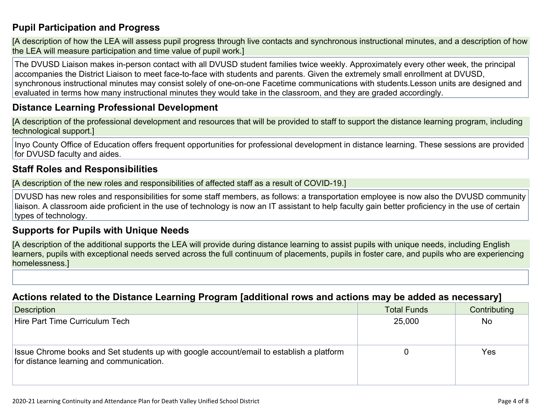#### **Pupil [Participation](http://www.doc-tracking.com/screenshots/20LCP/Instructions/20LCPInstructions.htm#DistanceLearningProgram3) and Progress**

[A description of how the LEA will assess pupil progress through live contacts and synchronous instructional minutes, and a description of how the LEA will measure participation and time value of pupil work.]

The DVUSD Liaison makes in-person contact with all DVUSD student families twice weekly. Approximately every other week, the principal accompanies the District Liaison to meet face-to-face with students and parents. Given the extremely small enrollment at DVUSD, synchronous instructional minutes may consist solely of one-on-one Facetime communications with students.Lesson units are designed and evaluated in terms how many instructional minutes they would take in the classroom, and they are graded accordingly.

#### **Distance Learning Professional [Development](http://www.doc-tracking.com/screenshots/20LCP/Instructions/20LCPInstructions.htm#DistanceLearningProgram4)**

[A description of the professional development and resources that will be provided to staff to support the distance learning program, including technological support.]

Inyo County Office of Education offers frequent opportunities for professional development in distance learning. These sessions are provided for DVUSD faculty and aides.

#### **Staff Roles and [Responsibilities](http://www.doc-tracking.com/screenshots/20LCP/Instructions/20LCPInstructions.htm#DistanceLearningProgram5)**

[A description of the new roles and responsibilities of affected staff as a result of COVID-19.]

DVUSD has new roles and responsibilities for some staff members, as follows: a transportation employee is now also the DVUSD community liaison. A classroom aide proficient in the use of technology is now an IT assistant to help faculty gain better proficiency in the use of certain types of technology.

#### **[Supports](http://www.doc-tracking.com/screenshots/20LCP/Instructions/20LCPInstructions.htm#DistanceLearningProgram6) for Pupils with Unique Needs**

[A description of the additional supports the LEA will provide during distance learning to assist pupils with unique needs, including English learners, pupils with exceptional needs served across the full continuum of placements, pupils in foster care, and pupils who are experiencing homelessness.]

#### **Actions related to the Distance Learning Program [additional rows and actions may be added as [necessary\]](http://www.doc-tracking.com/screenshots/20LCP/Instructions/20LCPInstructions.htm#DistanceLearningProgram7)**

| Description                                                                                                                          | <b>Total Funds</b> | Contributing   |
|--------------------------------------------------------------------------------------------------------------------------------------|--------------------|----------------|
| Hire Part Time Curriculum Tech                                                                                                       | 25,000             | N <sub>o</sub> |
| Issue Chrome books and Set students up with google account/email to establish a platform<br>for distance learning and communication. |                    | Yes            |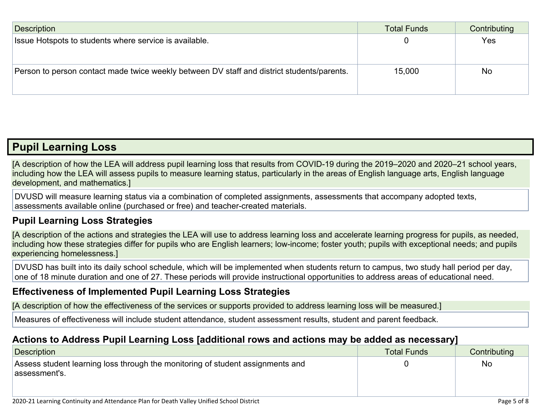| Description                                                                                | <b>Total Funds</b> | Contributing |
|--------------------------------------------------------------------------------------------|--------------------|--------------|
| Issue Hotspots to students where service is available.                                     |                    | Yes          |
|                                                                                            |                    |              |
|                                                                                            |                    |              |
| Person to person contact made twice weekly between DV staff and district students/parents. | 15,000             | <b>No</b>    |
|                                                                                            |                    |              |
|                                                                                            |                    |              |

### **Pupil [Learning](http://www.doc-tracking.com/screenshots/20LCP/Instructions/20LCPInstructions.htm#PupilLearningLoss) Loss**

[A description of how the LEA will address pupil learning loss that results from COVID-19 during the 2019–2020 and 2020–21 school years, including how the LEA will assess pupils to measure learning status, particularly in the areas of English language arts, English language development, and mathematics.]

DVUSD will measure learning status via a combination of completed assignments, assessments that accompany adopted texts, assessments available online (purchased or free) and teacher-created materials.

#### **Pupil Learning Loss [Strategies](http://www.doc-tracking.com/screenshots/20LCP/Instructions/20LCPInstructions.htm#PupilLearningLoss1)**

[A description of the actions and strategies the LEA will use to address learning loss and accelerate learning progress for pupils, as needed, including how these strategies differ for pupils who are English learners; low-income; foster youth; pupils with exceptional needs; and pupils experiencing homelessness.]

DVUSD has built into its daily school schedule, which will be implemented when students return to campus, two study hall period per day, one of 18 minute duration and one of 27. These periods will provide instructional opportunities to address areas of educational need.

#### **[Effectiveness](http://www.doc-tracking.com/screenshots/20LCP/Instructions/20LCPInstructions.htm#PupilLearningLoss2) of Implemented Pupil Learning Loss Strategies**

[A description of how the effectiveness of the services or supports provided to address learning loss will be measured.]

Measures of effectiveness will include student attendance, student assessment results, student and parent feedback.

#### **Actions to Address Pupil Learning Loss [additional rows and actions may be added as [necessary\]](http://www.doc-tracking.com/screenshots/20LCP/Instructions/20LCPInstructions.htm#PupilLearningLoss4)**

| Description                                                                    | Total Funds | Contributing |
|--------------------------------------------------------------------------------|-------------|--------------|
| Assess student learning loss through the monitoring of student assignments and |             | <b>No</b>    |
| assessment's.                                                                  |             |              |
|                                                                                |             |              |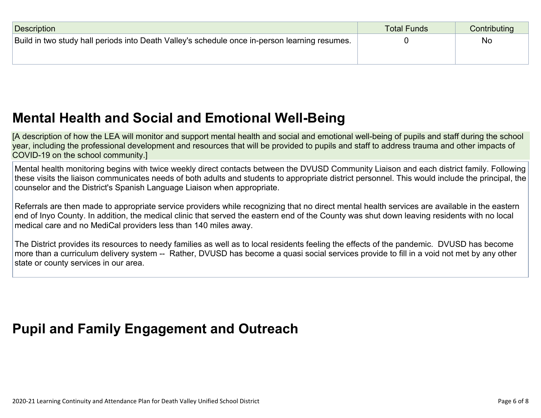| <b>Description</b>                                                                            | Total Funds | Contributing |
|-----------------------------------------------------------------------------------------------|-------------|--------------|
| Build in two study hall periods into Death Valley's schedule once in-person learning resumes. |             | <b>No</b>    |
|                                                                                               |             |              |

### **Mental Health and Social and Emotional [Well-Being](http://www.doc-tracking.com/screenshots/20LCP/Instructions/20LCPInstructions.htm#MentalHealthandSocialandEmotional)**

[A description of how the LEA will monitor and support mental health and social and emotional well-being of pupils and staff during the school year, including the professional development and resources that will be provided to pupils and staff to address trauma and other impacts of COVID-19 on the school community.]

Mental health monitoring begins with twice weekly direct contacts between the DVUSD Community Liaison and each district family. Following these visits the liaison communicates needs of both adults and students to appropriate district personnel. This would include the principal, the counselor and the District's Spanish Language Liaison when appropriate.

Referrals are then made to appropriate service providers while recognizing that no direct mental health services are available in the eastern end of Inyo County. In addition, the medical clinic that served the eastern end of the County was shut down leaving residents with no local medical care and no MediCal providers less than 140 miles away.

The District provides its resources to needy families as well as to local residents feeling the effects of the pandemic. DVUSD has become more than a curriculum delivery system -- Rather, DVUSD has become a quasi social services provide to fill in a void not met by any other state or county services in our area.

### **Pupil and Family [Engagement](http://www.doc-tracking.com/screenshots/20LCP/Instructions/20LCPInstructions.htm#PupilEngagementandOutreach) and Outreach**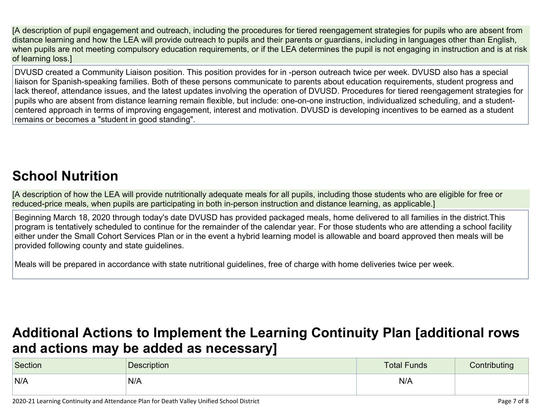[A description of pupil engagement and outreach, including the procedures for tiered reengagement strategies for pupils who are absent from distance learning and how the LEA will provide outreach to pupils and their parents or guardians, including in languages other than English, when pupils are not meeting compulsory education requirements, or if the LEA determines the pupil is not engaging in instruction and is at risk of learning loss.]

DVUSD created a Community Liaison position. This position provides for in -person outreach twice per week. DVUSD also has a special liaison for Spanish-speaking families. Both of these persons communicate to parents about education requirements, student progress and lack thereof, attendance issues, and the latest updates involving the operation of DVUSD. Procedures for tiered reengagement strategies for pupils who are absent from distance learning remain flexible, but include: one-on-one instruction, individualized scheduling, and a studentcentered approach in terms of improving engagement, interest and motivation. DVUSD is developing incentives to be earned as a student remains or becomes a "student in good standing".

## **School [Nutrition](http://www.doc-tracking.com/screenshots/20LCP/Instructions/20LCPInstructions.htm#SchoolNutrition)**

[A description of how the LEA will provide nutritionally adequate meals for all pupils, including those students who are eligible for free or reduced-price meals, when pupils are participating in both in-person instruction and distance learning, as applicable.]

Beginning March 18, 2020 through today's date DVUSD has provided packaged meals, home delivered to all families in the district.This program is tentatively scheduled to continue for the remainder of the calendar year. For those students who are attending a school facility either under the Small Cohort Services Plan or in the event a hybrid learning model is allowable and board approved then meals will be provided following county and state guidelines.

Meals will be prepared in accordance with state nutritional guidelines, free of charge with home deliveries twice per week.

### **Additional Actions to Implement the Learning Continuity Plan [\[additional](http://www.doc-tracking.com/screenshots/20LCP/Instructions/20LCPInstructions.htm#AdditionalActions) rows and actions may be added as [necessary\]](http://www.doc-tracking.com/screenshots/20LCP/Instructions/20LCPInstructions.htm#AdditionalActions)**

| Section | <b>Description</b> | <b>Total Funds</b> | Contributing |
|---------|--------------------|--------------------|--------------|
| N/A     | N/A                | N/A                |              |

2020-21 Learning Continuity and Attendance Plan for Death Valley Unified School District **Page 7 of 8** and 2020-21 Learning Continuity and Attendance Plan for Death Valley Unified School District